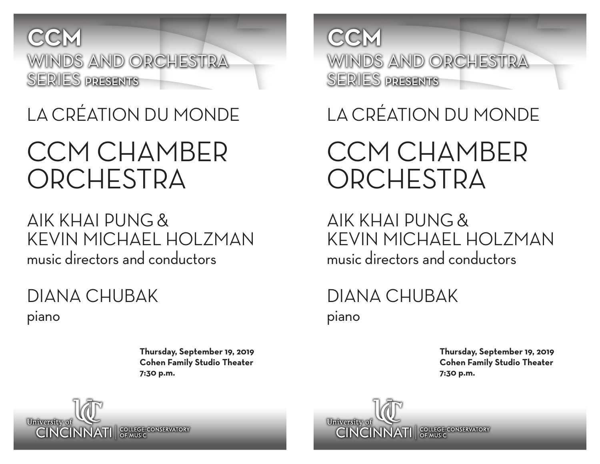

## LA CRÉATION DU MONDE

## CCM CHAMBER ORCHESTRA

### AIK KHAI PUNG & KEVIN MICHAEL HOLZMAN music directors and conductors

DIANA CHUBAK piano

> **Thursday, September 19, 2019 Cohen Family Studio Theater 7:30 p.m.**



LA CRÉATION DU MONDE

## CCM CHAMBER ORCHESTRA

AIK KHAI PUNG & KEVIN MICHAEL HOLZMAN music directors and conductors

### DIANA CHUBAK piano

**Thursday, September 19, 2019 Cohen Family Studio Theater 7:30 p.m.**